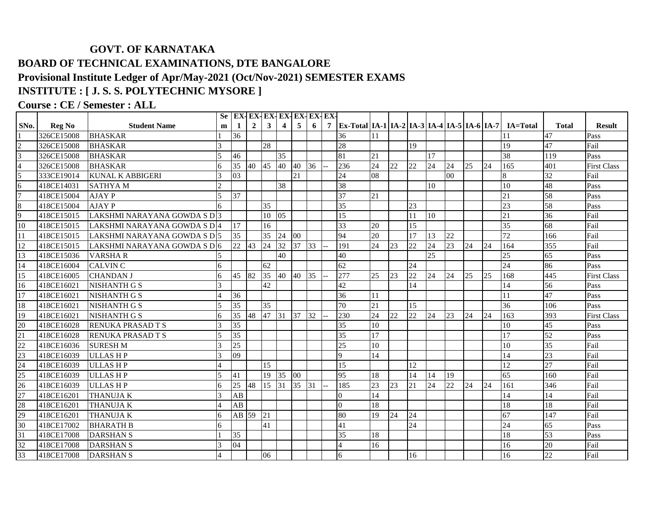## **GOVT. OF KARNATAKA BOARD OF TECHNICAL EXAMINATIONS, DTE BANGALORE Provisional Institute Ledger of Apr/May-2021 (Oct/Nov-2021) SEMESTER EXAMS INSTITUTE : [ J. S. S. POLYTECHNIC MYSORE ]**

## **Course : CE / Semester : ALL**

|                   |               |                              |                          |                 |                |                 | Se EX-EX-EX-EX-EX-EX-EX-EX- |                |    |   |                                                         |                 |    |                 |                 |    |    |    |                 |                 |                    |
|-------------------|---------------|------------------------------|--------------------------|-----------------|----------------|-----------------|-----------------------------|----------------|----|---|---------------------------------------------------------|-----------------|----|-----------------|-----------------|----|----|----|-----------------|-----------------|--------------------|
| SN <sub>0</sub> . | <b>Reg No</b> | <b>Student Name</b>          | m                        | 1               | $\overline{2}$ | $\mathbf{3}$    | $\overline{\mathbf{4}}$     | 5 <sup>5</sup> | 6  | 7 | Ex-Total IA-1   IA-2   IA-3   IA-4   IA-5   IA-6   IA-7 |                 |    |                 |                 |    |    |    | <b>IA=Total</b> | <b>Total</b>    | Result             |
|                   | 326CE15008    | <b>BHASKAR</b>               |                          | 36              |                |                 |                             |                |    |   | 36                                                      |                 |    |                 |                 |    |    |    |                 | 47              | Pass               |
|                   | 326CE15008    | <b>BHASKAR</b>               | 3                        |                 |                | 28              |                             |                |    |   | 28                                                      |                 |    | 19              |                 |    |    |    | 19              | 47              | Fail               |
|                   | 326CE15008    | <b>BHASKAR</b>               | $\overline{5}$           | 46              |                |                 | 35                          |                |    |   | 81                                                      | 21              |    |                 | 17              |    |    |    | 38              | 119             | Pass               |
|                   | 326CE15008    | <b>BHASKAR</b>               | 6                        | $\overline{35}$ | 40 45          |                 | 40                          | 40             | 36 |   | 236                                                     | 24              | 22 | 22              | 24              | 24 | 25 | 24 | 165             | 401             | <b>First Class</b> |
|                   | 333CE19014    | <b>KUNAL K ABBIGERI</b>      |                          | 03              |                |                 |                             | 21             |    |   | 24                                                      | 08              |    |                 |                 | 00 |    |    | 8               | 32              | Fail               |
| 6                 | 418CE14031    | <b>SATHYAM</b>               | $\mathcal{D}_{\alpha}$   |                 |                |                 | 38                          |                |    |   | 38                                                      |                 |    |                 | 10              |    |    |    | 10              | 48              | Pass               |
|                   | 418CE15004    | <b>AJAY P</b>                | $\overline{5}$           | 37              |                |                 |                             |                |    |   | $\overline{37}$                                         | 21              |    |                 |                 |    |    |    | $\overline{21}$ | 58              | Pass               |
| 8                 | 418CE15004    | <b>AJAY P</b>                | 6                        |                 |                | 35              |                             |                |    |   | 35                                                      |                 |    | 23              |                 |    |    |    | 23              | 58              | Pass               |
| 9                 | 418CE15015    | LAKSHMI NARAYANA GOWDA S D 3 |                          |                 |                | 10              | 05                          |                |    |   | 15                                                      |                 |    | 11              | 10              |    |    |    | 21              | 36              | Fail               |
| 10                | 418CE15015    | LAKSHMI NARAYANA GOWDA S D 4 |                          | 17              |                | 16              |                             |                |    |   | 33                                                      | 20              |    | 15              |                 |    |    |    | $\overline{35}$ | 68              | Fail               |
| 11                | 418CE15015    | LAKSHMI NARAYANA GOWDA S D 5 |                          | 35              |                | $\overline{35}$ | 24                          | 00             |    |   | 94                                                      | 20              |    | 17              | 13              | 22 |    |    | 72              | 166             | Fail               |
| 12                | 418CE15015    | LAKSHMI NARAYANA GOWDA S DI6 |                          | 22 43           |                | 24              | 32                          | 37             | 33 |   | 191                                                     | 24              | 23 | 22              | 24              | 23 | 24 | 24 | 164             | 355             | Fail               |
| 13                | 418CE15036    | <b>VARSHAR</b>               | 5                        |                 |                |                 | 40                          |                |    |   | 40                                                      |                 |    |                 | $\overline{25}$ |    |    |    | 25              | 65              | Pass               |
| 14                | 418CE16004    | <b>CALVIN C</b>              | 6                        |                 |                | 62              |                             |                |    |   | 62                                                      |                 |    | $\overline{24}$ |                 |    |    |    | $\overline{24}$ | 86              | Pass               |
| 15                | 418CE16005    | <b>CHANDAN J</b>             | 6                        | 45              | 82             | 35              | 40                          | 40             | 35 |   | 277                                                     | 25              | 23 | $\overline{22}$ | 24              | 24 | 25 | 25 | 168             | 445             | <b>First Class</b> |
| 16                | 418CE16021    | <b>NISHANTH G S</b>          | 3                        |                 |                | 42              |                             |                |    |   | 42                                                      |                 |    | 14              |                 |    |    |    | 14              | 56              | Pass               |
| 17                | 418CE16021    | NISHANTH G S                 |                          | 36              |                |                 |                             |                |    |   | 36                                                      | 11              |    |                 |                 |    |    |    | 11              | 47              | Pass               |
| 18                | 418CE16021    | <b>NISHANTH G S</b>          | $\overline{5}$           | $\overline{35}$ |                | 35              |                             |                |    |   | 70                                                      | 21              |    | 15              |                 |    |    |    | 36              | 106             | Pass               |
| 19                | 418CE16021    | <b>NISHANTH G S</b>          | 6                        | 35              | 48             | 47 31           |                             | 37             | 32 |   | 230                                                     | 24              | 22 | 22              | 24              | 23 | 24 | 24 | 163             | 393             | <b>First Class</b> |
| 20                | 418CE16028    | RENUKA PRASAD T S            |                          | 35              |                |                 |                             |                |    |   | 35                                                      | 10              |    |                 |                 |    |    |    | 10              | 45              | Pass               |
| 21                | 418CE16028    | RENUKA PRASAD T S            |                          | 35              |                |                 |                             |                |    |   | 35                                                      | $\overline{17}$ |    |                 |                 |    |    |    | 17              | 52              | Pass               |
| 22                | 418CE16036    | <b>SURESH M</b>              |                          | $\overline{25}$ |                |                 |                             |                |    |   | 25                                                      | 10              |    |                 |                 |    |    |    | 10              | $\overline{35}$ | Fail               |
| 23                | 418CE16039    | <b>ULLASHP</b>               |                          | 09              |                |                 |                             |                |    |   | <sup>Q</sup>                                            | 14              |    |                 |                 |    |    |    | 14              | 23              | Fail               |
| 24                | 418CE16039    | <b>ULLASHP</b>               | 4                        |                 |                | 15              |                             |                |    |   | 15                                                      |                 |    | 12              |                 |    |    |    | 12              | $\overline{27}$ | Fail               |
| 25                | 418CE16039    | <b>ULLASHP</b>               | $\overline{\phantom{0}}$ | 41              |                | 19              | 35                          | 00             |    |   | 95                                                      | 18              |    | 14              | 14              | 19 |    |    | 65              | 160             | Fail               |
| 26                | 418CE16039    | <b>ULLASHP</b>               | 6                        | 25              | 48             | 15              | 31                          | 35             | 31 |   | 185                                                     | 23              | 23 | 21              | 24              | 22 | 24 | 24 | 161             | 346             | Fail               |
| 27                | 418CE16201    | <b>THANUJAK</b>              |                          | AB              |                |                 |                             |                |    |   | $\Omega$                                                | 14              |    |                 |                 |    |    |    | 14              | 14              | Fail               |
| 28                | 418CE16201    | <b>THANUJAK</b>              |                          | AB              |                |                 |                             |                |    |   | $\Omega$                                                | 18              |    |                 |                 |    |    |    | 18              | 18              | Fail               |
| 29                | 418CE16201    | <b>THANUJAK</b>              | 6                        | AB 59           |                | 21              |                             |                |    |   | 80                                                      | 19              | 24 | 24              |                 |    |    |    | 67              | 147             | Fail               |
| 30                | 418CE17002    | <b>BHARATH B</b>             | 6                        |                 |                | 41              |                             |                |    |   | 41                                                      |                 |    | 24              |                 |    |    |    | $\overline{24}$ | 65              | Pass               |
| 31                | 418CE17008    | <b>DARSHAN S</b>             |                          | 35              |                |                 |                             |                |    |   | 35                                                      | 18              |    |                 |                 |    |    |    | 18              | 53              | Pass               |
| 32                | 418CE17008    | <b>DARSHAN S</b>             |                          | 04              |                |                 |                             |                |    |   |                                                         | 16              |    |                 |                 |    |    |    | 16              | 20              | Fail               |
| 33                | 418CE17008    | <b>DARSHAN S</b>             |                          |                 |                | 06              |                             |                |    |   | 6                                                       |                 |    | 16              |                 |    |    |    | 16              | 22              | Fail               |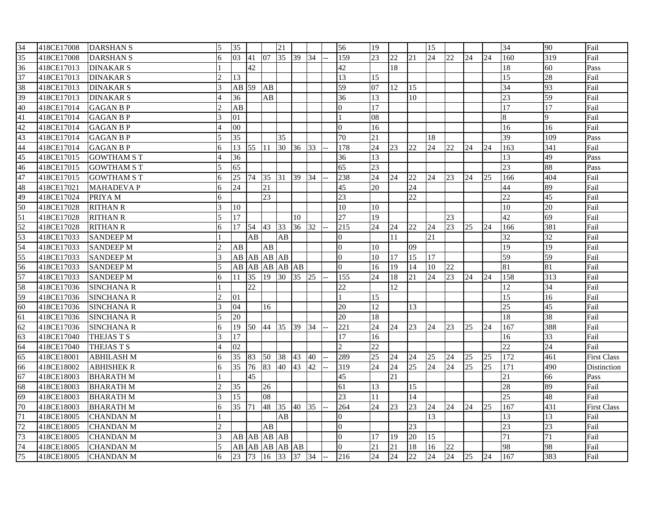| 34              | 418CE17008 | <b>DARSHAN S</b>   | $\leq$ | 35              |             |       | 21              |       |    | 56              | 19              |    |    | 15              |    |    |    | 34              | 90  | Fail               |
|-----------------|------------|--------------------|--------|-----------------|-------------|-------|-----------------|-------|----|-----------------|-----------------|----|----|-----------------|----|----|----|-----------------|-----|--------------------|
| $\overline{35}$ | 418CE17008 | <b>DARSHAN S</b>   |        | 03              | 41          | 07    | 35              | 39    | 34 | 159             | 23              | 22 | 21 | 24              | 22 | 24 | 24 | 160             | 319 | Fail               |
| 36              | 418CE17013 | <b>DINAKAR S</b>   |        |                 | 42          |       |                 |       |    | 42              |                 | 18 |    |                 |    |    |    | 18              | 60  | Pass               |
| 37              | 418CE17013 | <b>DINAKAR S</b>   |        | 13              |             |       |                 |       |    | 13              | 15              |    |    |                 |    |    |    | $\overline{15}$ | 28  | Fail               |
| 38              | 418CE17013 | <b>DINAKAR S</b>   |        | $AB$ 59         |             | AB    |                 |       |    | 59              | 07              | 12 | 15 |                 |    |    |    | $\overline{34}$ | 93  | Fail               |
| 39              | 418CE17013 | <b>DINAKAR S</b>   |        | 36              |             | AB    |                 |       |    | 36              | 13              |    | 10 |                 |    |    |    | 23              | 59  | Fail               |
| 40              | 418CE17014 | <b>GAGAN B P</b>   |        | AB              |             |       |                 |       |    | $\Omega$        | 17              |    |    |                 |    |    |    | 17              | 17  | Fail               |
| 41              | 418CE17014 | <b>GAGAN B P</b>   |        | 01              |             |       |                 |       |    |                 | 08              |    |    |                 |    |    |    | 8               | 9   | Fail               |
| 42              | 418CE17014 | <b>GAGAN B P</b>   |        | 00              |             |       |                 |       |    | $\overline{0}$  | 16              |    |    |                 |    |    |    | 16              | 16  | Fail               |
| 43              | 418CE17014 | <b>GAGAN B P</b>   |        | 35              |             |       | 35              |       |    | 70              | 21              |    |    | 18              |    |    |    | 39              | 109 | Pass               |
| 44              | 418CE17014 | <b>GAGAN B P</b>   | 6      | 13              | 55 111      |       | 30 <sup>°</sup> | 36 33 |    | 178             | 24              | 23 | 22 | 24              | 22 | 24 | 24 | 163             | 341 | Fail               |
| 45              | 418CE17015 | <b>GOWTHAM S T</b> |        | 36              |             |       |                 |       |    | 36              | 13              |    |    |                 |    |    |    | 13              | 49  | Pass               |
| 46              | 418CE17015 | <b>GOWTHAM S T</b> |        | 65              |             |       |                 |       |    | 65              | 23              |    |    |                 |    |    |    | $\overline{23}$ | 88  | Pass               |
| 47              | 418CE17015 | <b>GOWTHAM S T</b> | 6      | 25              | 74          | 35    | 31              | 39    | 34 | 238             | 24              | 24 | 22 | 24              | 23 | 24 | 25 | 166             | 404 | Fail               |
| 48              | 418CE17021 | <b>MAHADEVA P</b>  | 6      | $\overline{24}$ |             | 21    |                 |       |    | 45              | $\overline{20}$ |    | 24 |                 |    |    |    | 44              | 89  | Fail               |
| 49              | 418CE17024 | PRIYA M            | 6      |                 |             | 23    |                 |       |    | 23              |                 |    | 22 |                 |    |    |    | $\overline{22}$ | 45  | Fail               |
| 50              | 418CE17028 | <b>RITHAN R</b>    |        | 10              |             |       |                 |       |    | 10              | 10              |    |    |                 |    |    |    | 10              | 20  | Fail               |
| 51              | 418CE17028 | <b>RITHAN R</b>    |        | 17              |             |       |                 | 10    |    | 27              | 19              |    |    |                 | 23 |    |    | 42              | 69  | Fail               |
| 52              | 418CE17028 | <b>RITHAN R</b>    | 6      | 17              | 54          | 43    | 33              | 36 32 |    | 215             | 24              | 24 | 22 | 24              | 23 | 25 | 24 | 166             | 381 | Fail               |
| 53              | 418CE17033 | <b>SANDEEP M</b>   |        |                 | AB          |       | AB              |       |    | $\mathbf{0}$    |                 | 11 |    | 21              |    |    |    | $\overline{32}$ | 32  | Fail               |
| 54              | 418CE17033 | <b>SANDEEP M</b>   |        | AB              |             | AB    |                 |       |    | $\Omega$        | 10              |    | 09 |                 |    |    |    | 19              | 19  | Fail               |
| 55              | 418CE17033 | <b>SANDEEP M</b>   |        | AB              | AB AB AB    |       |                 |       |    | $\Omega$        | 10              | 17 | 15 | 17              |    |    |    | 59              | 59  | Fail               |
| 56              | 418CE17033 | <b>SANDEEP M</b>   |        | AВ              |             |       | AB AB AB AB     |       |    | $\Omega$        | 16              | 19 | 14 | 10              | 22 |    |    | 81              | 81  | Fail               |
| 57              | 418CE17033 | <b>SANDEEP M</b>   | 6      | 11              | 35          | 19    | 30 <sup>°</sup> | 35 25 |    | 155             | 24              | 18 | 21 | 24              | 23 | 24 | 24 | 158             | 313 | Fail               |
| 58              | 418CE17036 | <b>SINCHANA R</b>  |        |                 | 22          |       |                 |       |    | 22              |                 | 12 |    |                 |    |    |    | 12              | 34  | Fail               |
| 59              | 418CE17036 | <b>SINCHANA R</b>  |        | 01              |             |       |                 |       |    |                 | 15              |    |    |                 |    |    |    | 15              | 16  | Fail               |
| 60              | 418CE17036 | <b>SINCHANA R</b>  |        | 04              |             | 16    |                 |       |    | 20              | 12              |    | 13 |                 |    |    |    | 25              | 45  | Fail               |
| 61              | 418CE17036 | <b>SINCHANA R</b>  |        | 20              |             |       |                 |       |    | 20              | 18              |    |    |                 |    |    |    | 18              | 38  | Fail               |
| 62              | 418CE17036 | <b>SINCHANA R</b>  |        | 19              | 50 44 35    |       |                 | 39 34 |    | 221             | 24              | 24 | 23 | 24              | 23 | 25 | 24 | 167             | 388 | Fail               |
| 63              | 418CE17040 | THEJAS T S         |        | 17              |             |       |                 |       |    | 17              | 16              |    |    |                 |    |    |    | 16              | 33  | Fail               |
| 64              | 418CE17040 | THEJAS T S         |        | 02              |             |       |                 |       |    | $\mathfrak{D}$  | 22              |    |    |                 |    |    |    | $\overline{22}$ | 24  | Fail               |
| 65              | 418CE18001 | <b>ABHILASH M</b>  | 6      | 35              | 83          | 50 38 |                 | 43    | 40 | 289             | 25              | 24 | 24 | 25              | 24 | 25 | 25 | 172             | 461 | <b>First Class</b> |
| 66              | 418CE18002 | <b>ABHISHEK R</b>  | 6      | 35              | 76          | 83    | 40              | 43    | 42 | 319             | 24              | 24 | 25 | 24              | 24 | 25 | 25 | 171             | 490 | Distinction        |
| 67              | 418CE18003 | <b>BHARATH M</b>   |        |                 | 45          |       |                 |       |    | 45              |                 | 21 |    |                 |    |    |    | $\overline{21}$ | 66  | Pass               |
| 68              | 418CE18003 | <b>BHARATH M</b>   |        | 35              |             | 26    |                 |       |    | 61              | 13              |    | 15 |                 |    |    |    | 28              | 89  | Fail               |
| 69              | 418CE18003 | <b>BHARATH M</b>   |        | 15              |             | 08    |                 |       |    | $\overline{23}$ | 11              |    | 14 |                 |    |    |    | 25              | 48  | Fail               |
| 70              | 418CE18003 | <b>BHARATHM</b>    | 6      | 35              | 171         | 48    | 35              | 40    | 35 | 264             | 24              | 23 | 23 | 24              | 24 | 24 | 25 | 167             | 431 | <b>First Class</b> |
| 71              | 418CE18005 | <b>CHANDAN M</b>   |        |                 |             |       | $\overline{AB}$ |       |    | $\mathbf{0}$    |                 |    |    | $\overline{13}$ |    |    |    | 13              | 13  | Fail               |
| 72              | 418CE18005 | <b>CHANDAN M</b>   |        |                 |             | AB    |                 |       |    | $\overline{0}$  |                 |    | 23 |                 |    |    |    | $\overline{23}$ | 23  | Fail               |
| 73              | 418CE18005 | <b>CHANDAN M</b>   |        |                 | AB AB AB AB |       |                 |       |    | $\overline{0}$  | 17              | 19 | 20 | 15              |    |    |    | 71              | 71  | Fail               |
| 74              | 418CE18005 | <b>CHANDAN M</b>   |        | AB              |             |       | AB AB AB AB     |       |    | $\overline{0}$  | 21              | 21 | 18 | 16              | 22 |    |    | 98              | 98  | Fail               |
| 75              | 418CE18005 | <b>CHANDAN M</b>   | 6      | 23              | 73          | 16    | 33              | 37 34 |    | 216             | 24              | 24 | 22 | 24              | 24 | 25 | 24 | 167             | 383 | Fail               |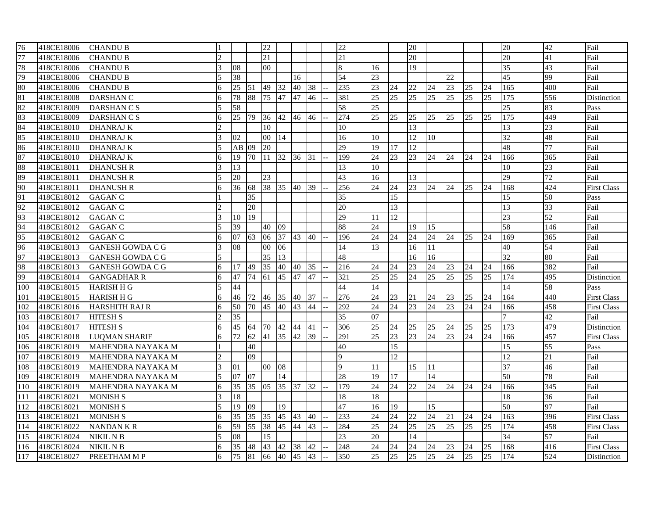| 76  | 418CE18006 | <b>CHANDU B</b>         |                        |                 |           | 22              |    |              |    | 22              |                 |    | 20              |                 |                 |    |                 | 20              | 42              | Fail               |
|-----|------------|-------------------------|------------------------|-----------------|-----------|-----------------|----|--------------|----|-----------------|-----------------|----|-----------------|-----------------|-----------------|----|-----------------|-----------------|-----------------|--------------------|
| 77  | 418CE18006 | <b>CHANDU B</b>         | $\overline{c}$         |                 |           | 21              |    |              |    | 21              |                 |    | 20              |                 |                 |    |                 | 20              | 41              | Fail               |
| 78  | 418CE18006 | <b>CHANDU B</b>         | 3                      | 08              |           | 00              |    |              |    | $\bf 8$         | 16              |    | 19              |                 |                 |    |                 | 35              | 43              | Fail               |
| 79  | 418CE18006 | <b>CHANDU B</b>         |                        | 38              |           |                 |    | 16           |    | 54              | 23              |    |                 |                 | 22              |    |                 | 45              | 99              | Fail               |
| 80  | 418CE18006 | <b>CHANDU B</b>         | 6                      | 25              | <b>51</b> | 49              | 32 | 40           | 38 | 235             | 23              | 24 | 22              | 24              | 23              | 25 | 24              | 165             | 400             | Fail               |
| 81  | 418CE18008 | <b>DARSHAN C</b>        | 6                      | 78              | 88        | 75              | 47 | 47           | 46 | 381             | 25              | 25 | 25              | 25              | $\overline{25}$ | 25 | 25              | 175             | 556             | Distinction        |
| 82  | 418CE18009 | <b>DARSHANCS</b>        |                        | 58              |           |                 |    |              |    | 58              | 25              |    |                 |                 |                 |    |                 | 25              | 83              | Pass               |
| 83  | 418CE18009 | DARSHAN C S             | 6                      | 25              | 79        | 36              | 42 | 46           | 46 | 274             | 25              | 25 | 25              | 25              | 25              | 25 | 25              | 175             | 449             | Fail               |
| 84  | 418CE18010 | <b>DHANRAJ K</b>        | $\mathcal{D}_{\alpha}$ |                 |           | 10              |    |              |    | 10              |                 |    | 13              |                 |                 |    |                 | 13              | 23              | Fail               |
| 85  | 418CE18010 | <b>DHANRAJ K</b>        | 3                      | 02              |           | $00\,$          | 14 |              |    | 16              | 10              |    | 12              | 10              |                 |    |                 | 32              | 48              | Fail               |
| 86  | 418CE18010 | <b>DHANRAJ K</b>        |                        | $AB$ 09         |           | 20              |    |              |    | $\overline{29}$ | 19              | 17 | 12              |                 |                 |    |                 | 48              | 77              | Fail               |
| 87  | 418CE18010 | <b>DHANRAJ K</b>        | 6                      | 19              | 70        | $ 11\rangle$    | 32 | 36           | 31 | 199             | 24              | 23 | 23              | 24              | 24              | 24 | 24              | 166             | 365             | Fail               |
| 88  | 418CE18011 | <b>DHANUSH R</b>        |                        | 13              |           |                 |    |              |    | 13              | 10              |    |                 |                 |                 |    |                 | 10              | 23              | Fail               |
| 89  | 418CE18011 | <b>DHANUSH R</b>        | 5                      | 20              |           | 23              |    |              |    | 43              | 16              |    | 13              |                 |                 |    |                 | $\overline{29}$ | 72              | Fail               |
| 90  | 418CE18011 | <b>DHANUSH R</b>        | 6                      | 36              | 68        | 38              | 35 | 40           | 39 | 256             | 24              | 24 | 23              | 24              | 24              | 25 | 24              | 168             | 424             | <b>First Class</b> |
| 91  | 418CE18012 | <b>GAGAN C</b>          |                        |                 | 35        |                 |    |              |    | 35              |                 | 15 |                 |                 |                 |    |                 | 15              | 50              | Pass               |
| 92  | 418CE18012 | <b>GAGAN C</b>          |                        |                 | 20        |                 |    |              |    | 20              |                 | 13 |                 |                 |                 |    |                 | 13              | 33              | Fail               |
| 93  | 418CE18012 | <b>GAGAN C</b>          | $\mathcal{E}$          | 10              | 19        |                 |    |              |    | 29              | 11              | 12 |                 |                 |                 |    |                 | $\overline{23}$ | 52              | Fail               |
| 94  | 418CE18012 | <b>GAGAN C</b>          |                        | 39              |           | 40              | 09 |              |    | 88              | 24              |    | 19              | 15              |                 |    |                 | 58              | 146             | Fail               |
| 95  | 418CE18012 | <b>GAGAN C</b>          | б                      | 07              | 63        | 06              | 37 | 43 40        |    | 196             | 24              | 24 | 24              | 24              | 24              | 25 | 24              | 169             | 365             | Fail               |
| 96  | 418CE18013 | <b>GANESH GOWDA C G</b> | 3                      | 08              |           | 00 <sup>1</sup> | 06 |              |    | $\overline{14}$ | 13              |    | 16              | 11              |                 |    |                 | 40              | 54              | Fail               |
| 97  | 418CE18013 | <b>GANESH GOWDA C G</b> | 5                      |                 |           | 35              | 13 |              |    | 48              |                 |    | 16              | 16              |                 |    |                 | 32              | 80              | Fail               |
| 98  | 418CE18013 | GANESH GOWDA C G        | 6                      | 17              | 49        | 35              | 40 | 40           | 35 | 216             | 24              | 24 | 23              | 24              | 23              | 24 | 24              | 166             | 382             | Fail               |
| 99  | 418CE18014 | <b>GANGADHAR R</b>      | 6                      | 47              | 74        | 61              | 45 | 47           | 47 | 321             | $\overline{25}$ | 25 | $\overline{24}$ | 25              | 25              | 25 | $\overline{25}$ | 174             | 495             | Distinction        |
| 100 | 418CE18015 | <b>HARISH H G</b>       | 5                      | 44              |           |                 |    |              |    | 44              | 14              |    |                 |                 |                 |    |                 | 14              | 58              | Pass               |
| 101 | 418CE18015 | <b>HARISH H G</b>       | 6                      | 46              | 72        | 46              | 35 | 40           | 37 | 276             | 24              | 23 | 21              | 24              | 23              | 25 | 24              | 164             | 440             | <b>First Class</b> |
| 102 | 418CE18016 | <b>HARSHITH RAJ R</b>   | 6                      | 50              | 70        | 45              | 40 | 43           | 44 | 292             | 24              | 24 | 23              | 24              | 23              | 24 | 24              | 166             | 458             | <b>First Class</b> |
| 103 | 418CE18017 | <b>HITESH S</b>         |                        | $\overline{35}$ |           |                 |    |              |    | $\overline{35}$ | 07              |    |                 |                 |                 |    |                 | $\overline{7}$  | $\overline{42}$ | Fail               |
| 104 | 418CE18017 | <b>HITESH S</b>         | 6                      | 45              | 64        | 70              | 42 | 44           | 41 | 306             | 25              | 24 | 25              | 25              | 24              | 25 | 25              | 173             | 479             | Distinction        |
| 105 | 418CE18018 | <b>LUQMAN SHARIF</b>    | 6                      | 72              | 62        | 41              | 35 | 42           | 39 | 291             | 25              | 23 | 23              | 24              | 23              | 24 | 24              | 166             | 457             | <b>First Class</b> |
| 106 | 418CE18019 | MAHENDRA NAYAKA M       |                        |                 | 40        |                 |    |              |    | 40              |                 | 15 |                 |                 |                 |    |                 | 15              | 55              | Pass               |
| 107 | 418CE18019 | MAHENDRA NAYAKA M       |                        |                 | 09        |                 |    |              |    | $\mathbf{Q}$    |                 | 12 |                 |                 |                 |    |                 | 12              | 21              | Fail               |
| 108 | 418CE18019 | MAHENDRA NAYAKA M       | 3                      | 01              |           | 00              | 08 |              |    | 9               | 11              |    | 15              | 11              |                 |    |                 | $\overline{37}$ | 46              | Fail               |
| 109 | 418CE18019 | MAHENDRA NAYAKA M       |                        | 07              | 07        |                 | 14 |              |    | 28              | 19              | 17 |                 | 14              |                 |    |                 | 50              | 78              | Fail               |
| 110 | 418CE18019 | MAHENDRA NAYAKA M       | 6                      | 35              | 35        | 05              | 35 | 37           | 32 | 179             | 24              | 24 | 22              | 24              | 24              | 24 | 24              | 166             | 345             | Fail               |
| 111 | 418CE18021 | <b>MONISH S</b>         | 3                      | 18              |           |                 |    |              |    | 18              | 18              |    |                 |                 |                 |    |                 | 18              | 36              | Fail               |
| 112 | 418CE18021 | <b>MONISH S</b>         | 5                      | 19              | 09        |                 | 19 |              |    | 47              | 16              | 19 |                 | 15              |                 |    |                 | 50              | 97              | Fail               |
| 113 | 418CE18021 | <b>MONISH S</b>         | 6                      | $\overline{35}$ | 35 35     |                 | 45 | $ 43\rangle$ | 40 | 233             | $\overline{24}$ | 24 | 22              | $\overline{24}$ | 21              | 24 | 24              | 163             | 396             | <b>First Class</b> |
| 114 | 418CE18022 | <b>NANDANKR</b>         | 6                      | 59              | 55 38     |                 | 45 | 44           | 43 | 284             | 25              | 24 | 25              | 25              | 25              | 25 | 25              | 174             | 458             | <b>First Class</b> |
| 115 | 418CE18024 | NIKIL N B               |                        | 08              |           | 15              |    |              |    | 23              | 20              |    | 14              |                 |                 |    |                 | 34              | 57              | Fail               |
| 116 | 418CE18024 | NIKIL N B               | 6                      | 35              | 48        | 43              | 42 | 38           | 42 | 248             | 24              | 24 | 24              | 24              | 23              | 24 | 25              | 168             | 416             | <b>First Class</b> |
| 117 | 418CE18027 | PREETHAM M P            | 6                      | 75              | 81        | 66              | 40 | 45           | 43 | 350             | 25              | 25 | 25              | 25              | $\overline{24}$ | 25 | 25              | 174             | 524             | Distinction        |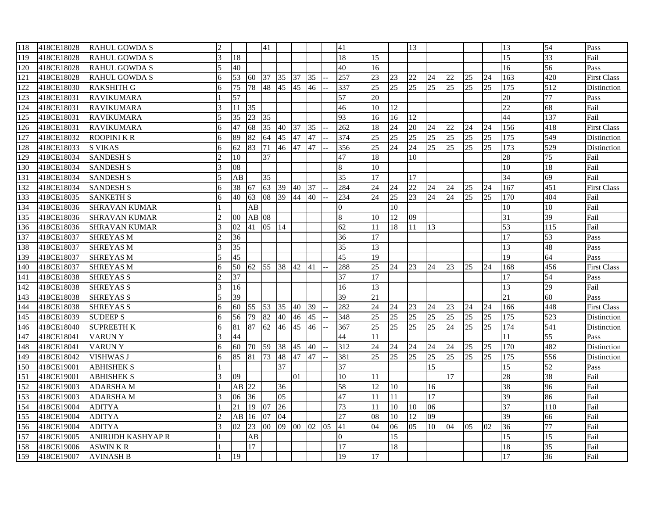| 118 | 418CE18028 | <b>RAHUL GOWDA S</b>     | $\mathcal{D}_{\mathcal{L}}$ |                 |       | 41              |                 |                 |    |    | 41              |                 |    | 13  |                 |                 |    |    | 13              | 54              | Pass               |
|-----|------------|--------------------------|-----------------------------|-----------------|-------|-----------------|-----------------|-----------------|----|----|-----------------|-----------------|----|-----|-----------------|-----------------|----|----|-----------------|-----------------|--------------------|
| 119 | 418CE18028 | <b>RAHUL GOWDA S</b>     | 3                           | 18              |       |                 |                 |                 |    |    | 18              | 15              |    |     |                 |                 |    |    | 15              | 33              | Fail               |
| 120 | 418CE18028 | <b>RAHUL GOWDA S</b>     | 5                           | 40              |       |                 |                 |                 |    |    | 40              | 16              |    |     |                 |                 |    |    | 16              | 56              | Pass               |
| 121 | 418CE18028 | <b>RAHUL GOWDA S</b>     | 6                           | 53              | 60    | 37              | $\overline{35}$ | 37              | 35 |    | 257             | 23              | 23 | 22  | 24              | 22              | 25 | 24 | 163             | 420             | <b>First Class</b> |
| 122 | 418CE18030 | <b>RAKSHITH G</b>        | 6                           | 75              | 78    | 48              | 45              | 45              | 46 |    | 337             | 25              | 25 | 25  | 25              | 25              | 25 | 25 | 175             | 512             | <b>Distinction</b> |
| 123 | 418CE18031 | <b>RAVIKUMARA</b>        |                             | 57              |       |                 |                 |                 |    |    | 57              | 20              |    |     |                 |                 |    |    | 20              | 77              | Pass               |
| 124 | 418CE18031 | <b>RAVIKUMARA</b>        | 3                           | 11              | 35    |                 |                 |                 |    |    | 46              | 10              | 12 |     |                 |                 |    |    | $\overline{22}$ | 68              | Fail               |
| 125 | 418CE18031 | <b>RAVIKUMARA</b>        |                             | 35              | 23    | 35              |                 |                 |    |    | 93              | 16              | 16 | 12  |                 |                 |    |    | 44              | 137             | Fail               |
| 126 | 418CE18031 | <b>RAVIKUMARA</b>        |                             | 47              | 68    | 35              | 40              | 37              | 35 |    | 262             | 18              | 24 | 20  | 24              | 22              | 24 | 24 | 156             | 418             | <b>First Class</b> |
| 127 | 418CE18032 | <b>ROOPINI K R</b>       | 6                           | 89              | 82    | 64              | 45              | 47              | 47 |    | 374             | 25              | 25 | 25  | 25              | 25              | 25 | 25 | 175             | 549             | Distinction        |
| 128 | 418CE18033 | <b>S VIKAS</b>           | 6                           | 62              | 83    | 71              | 46              | 47              | 47 |    | 356             | $\overline{25}$ | 24 | 24  | 25              | 25              | 25 | 25 | 173             | 529             | Distinction        |
| 129 | 418CE18034 | <b>SANDESH S</b>         | $\mathcal{D}_{\alpha}$      | 10              |       | 37              |                 |                 |    |    | 47              | 18              |    | 10  |                 |                 |    |    | 28              | 75              | Fail               |
| 130 | 418CE18034 | <b>SANDESH S</b>         |                             | 08              |       |                 |                 |                 |    |    | 8               | 10              |    |     |                 |                 |    |    | 10              | 18              | Fail               |
| 131 | 418CE18034 | <b>SANDESH S</b>         | 5                           | AB              |       | 35              |                 |                 |    |    | 35              | 17              |    | 17  |                 |                 |    |    | 34              | 69              | Fail               |
| 132 | 418CE18034 | <b>SANDESH S</b>         | 6                           | 38              | 67    | 63              | 39              | 40              | 37 |    | 284             | 24              | 24 | 22  | 24              | 24              | 25 | 24 | 167             | 451             | <b>First Class</b> |
| 133 | 418CE18035 | <b>SANKETH S</b>         | 6                           | 40              | 63    | 08              | 39              | 44              | 40 |    | 234             | 24              | 25 | 23  | $\overline{24}$ | $\overline{24}$ | 25 | 25 | 170             | 404             | Fail               |
| 134 | 418CE18036 | <b>SHRAVAN KUMAR</b>     |                             |                 | AB    |                 |                 |                 |    |    | $\Omega$        |                 | 10 |     |                 |                 |    |    | 10              | 10              | Fail               |
| 135 | 418CE18036 | <b>SHRAVAN KUMAR</b>     |                             | $00\,$          | AB 08 |                 |                 |                 |    |    | $\bf 8$         | 10              | 12 | 09  |                 |                 |    |    | 31              | 39              | Fail               |
| 136 | 418CE18036 | <b>SHRAVAN KUMAR</b>     | 3                           | 02              | 41    | 05              | 14              |                 |    |    | 62              | 11              | 18 | 11  | 13              |                 |    |    | 53              | 115             | Fail               |
| 137 | 418CE18037 | <b>SHREYAS M</b>         |                             | 36              |       |                 |                 |                 |    |    | 36              | 17              |    |     |                 |                 |    |    | 17              | 53              | Pass               |
| 138 | 418CE18037 | <b>SHREYAS M</b>         | 3                           | $\overline{35}$ |       |                 |                 |                 |    |    | 35              | 13              |    |     |                 |                 |    |    | 13              | 48              | Pass               |
| 139 | 418CE18037 | <b>SHREYAS M</b>         |                             | 45              |       |                 |                 |                 |    |    | 45              | 19              |    |     |                 |                 |    |    | 19              | 64              | Pass               |
| 140 | 418CE18037 | <b>SHREYAS M</b>         | 6                           | 50              | 62    | 55              | 38              | 42              | 41 |    | 288             | 25              | 24 | 23  | 24              | 23              | 25 | 24 | 168             | 456             | <b>First Class</b> |
| 141 | 418CE18038 | <b>SHREYAS S</b>         |                             | 37              |       |                 |                 |                 |    |    | 37              | 17              |    |     |                 |                 |    |    | 17              | 54              | Pass               |
| 142 | 418CE18038 | <b>SHREYAS S</b>         | $\mathbf{3}$                | 16              |       |                 |                 |                 |    |    | 16              | 13              |    |     |                 |                 |    |    | 13              | 29              | Fail               |
| 143 | 418CE18038 | <b>SHREYAS S</b>         |                             | 39              |       |                 |                 |                 |    |    | 39              | 21              |    |     |                 |                 |    |    | 21              | 60              | Pass               |
| 144 | 418CE18038 | <b>SHREYAS S</b>         | 6                           | 60              | 55 53 |                 | 35              | 40              | 39 |    | 282             | 24              | 24 | 23  | 24              | 23              | 24 | 24 | 166             | 448             | <b>First Class</b> |
| 145 | 418CE18039 | <b>SUDEEP S</b>          | 6                           | 56              | 79    | 82              | 40              | 46              | 45 |    | 348             | 25              | 25 | 25  | 25              | 25              | 25 | 25 | 175             | 523             | Distinction        |
| 146 | 418CE18040 | <b>SUPREETH K</b>        | 6                           | 81              | 87    | 62              | 46              | 45              | 46 |    | 367             | 25              | 25 | 25  | 25              | 24              | 25 | 25 | 174             | 541             | Distinction        |
| 147 | 418CE18041 | <b>VARUNY</b>            | 3                           | 44              |       |                 |                 |                 |    |    | 44              | 11              |    |     |                 |                 |    |    | 11              | 55              | Pass               |
| 148 | 418CE18041 | <b>VARUNY</b>            |                             | 60              | 70    | 59              | 38              | 45              | 40 |    | 312             | 24              | 24 | 24  | 24              | 24              | 25 | 25 | 170             | 482             | Distinction        |
| 149 | 418CE18042 | <b>VISHWAS J</b>         | 6                           | 85              | 81    | $\overline{73}$ | 48              | 47              | 47 |    | 381             | 25              | 25 | 25  | 25              | 25              | 25 | 25 | 175             | 556             | Distinction        |
| 150 | 418CE19001 | <b>ABHISHEK S</b>        |                             |                 |       |                 | 37              |                 |    |    | $\overline{37}$ |                 |    |     | $\overline{15}$ |                 |    |    | 15              | 52              | Pass               |
| 151 | 418CE19001 | <b>ABHISHEK S</b>        | 3                           | 09              |       |                 |                 | 01              |    |    | 10              | 11              |    |     |                 | 17              |    |    | 28              | 38              | Fail               |
| 152 | 418CE19003 | <b>ADARSHAM</b>          |                             | AB              | 22    |                 | 36              |                 |    |    | 58              | 12              | 10 |     | 16              |                 |    |    | 38              | 96              | Fail               |
| 153 | 418CE19003 | <b>ADARSHAM</b>          | $\mathcal{R}$               | 06              | 36    |                 | $\overline{05}$ |                 |    |    | 47              | 11              | 11 |     | 17              |                 |    |    | 39              | 86              | Fail               |
| 154 | 418CE19004 | <b>ADITYA</b>            |                             | 21              | 19    | 07              | 26              |                 |    |    | $\overline{73}$ | 11              | 10 | 10  | 06              |                 |    |    | $\overline{37}$ | 110             | Fail               |
| 155 | 418CE19004 | <b>ADITYA</b>            |                             | AB              | 16    | 07              | 04              |                 |    |    | $\overline{27}$ | 08              | 10 | 12  | $\overline{09}$ |                 |    |    | 39              | 66              | Fail               |
| 156 | 418CE19004 | <b>ADITYA</b>            | 3                           | 02              | 23    | 00 <sup>1</sup> | 09              | 00 <sup>1</sup> | 02 | 05 | 41              | 04              | 06 | 0.5 | $10\,$          | 04              | 05 | 02 | 36              | $77\,$          | Fail               |
| 157 | 418CE19005 | <b>ANIRUDH KASHYAP R</b> |                             |                 | AB    |                 |                 |                 |    |    | $\overline{0}$  |                 | 15 |     |                 |                 |    |    | 15              | 15              | Fail               |
| 158 | 418CE19006 | <b>ASWINKR</b>           |                             |                 | 17    |                 |                 |                 |    |    | 17              |                 | 18 |     |                 |                 |    |    | 18              | $\overline{35}$ | Fail               |
| 159 | 418CE19007 | <b>AVINASH B</b>         |                             | 19              |       |                 |                 |                 |    |    | 19              | 17              |    |     |                 |                 |    |    | 17              | $\overline{36}$ | Fail               |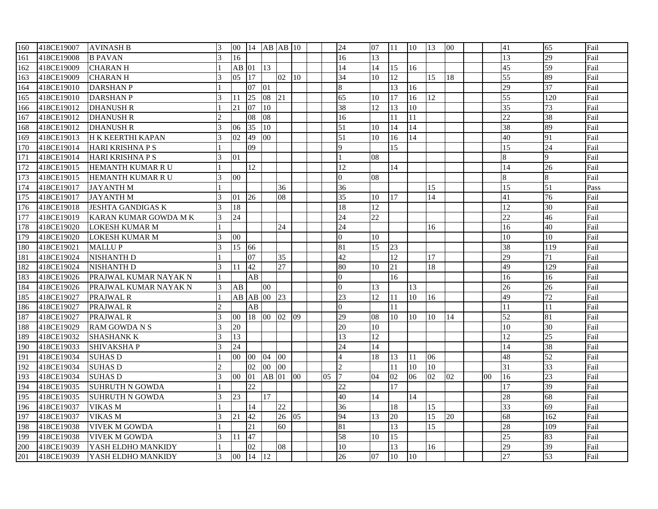| 160 | 418CE19007 | <b>AVINASH B</b>         | 3                           | 00              |                 |                 | 14 AB AB 10     |                  |    | 24              | 07              | 11 | 10 | 13              | 00 |                | 41              | 65  | Fail |
|-----|------------|--------------------------|-----------------------------|-----------------|-----------------|-----------------|-----------------|------------------|----|-----------------|-----------------|----|----|-----------------|----|----------------|-----------------|-----|------|
| 161 | 418CE19008 | <b>B PAVAN</b>           | 3                           | 16              |                 |                 |                 |                  |    | 16              | 13              |    |    |                 |    |                | 13              | 29  | Fail |
| 162 | 418CE19009 | <b>CHARANH</b>           |                             | $AB$ 01         |                 | $\vert$ 13      |                 |                  |    | 14              | 14              | 15 | 16 |                 |    |                | 45              | 59  | Fail |
| 163 | 418CE19009 | <b>CHARANH</b>           | 3                           | 05              | 17              |                 | 02              | 10               |    | 34              | 10              | 12 |    | 15              | 18 |                | 55              | 89  | Fail |
| 164 | 418CE19010 | <b>DARSHANP</b>          |                             |                 | 07              | 01              |                 |                  |    | 8               |                 | 13 | 16 |                 |    |                | $\overline{29}$ | 37  | Fail |
| 165 | 418CE19010 | <b>DARSHAN P</b>         | 3                           | 11              | 25              | 08              | 21              |                  |    | 65              | 10              | 17 | 16 | 12              |    |                | 55              | 120 | Fail |
| 166 | 418CE19012 | <b>DHANUSH R</b>         |                             | 21              | 07              | $ 10\rangle$    |                 |                  |    | 38              | 12              | 13 | 10 |                 |    |                | 35              | 73  | Fail |
| 167 | 418CE19012 | <b>DHANUSH R</b>         | $\mathcal{D}$               |                 | 08              | 08              |                 |                  |    | 16              |                 | 11 | 11 |                 |    |                | 22              | 38  | Fail |
| 168 | 418CE19012 | <b>DHANUSH R</b>         | $\mathbf{3}$                | 06              | 35              | 110             |                 |                  |    | 51              | 10              | 14 | 14 |                 |    |                | 38              | 89  | Fail |
| 169 | 418CE19013 | H K KEERTHI KAPAN        | 3                           | 02              | 49              | 00              |                 |                  |    | 51              | 10              | 16 | 14 |                 |    |                | 40              | 91  | Fail |
| 170 | 418CE19014 | <b>HARI KRISHNA P S</b>  |                             |                 | 09              |                 |                 |                  |    | $\overline{Q}$  |                 | 15 |    |                 |    |                | 15              | 24  | Fail |
| 171 | 418CE19014 | <b>HARI KRISHNA P S</b>  | $\mathcal{E}$               | 01              |                 |                 |                 |                  |    |                 | 08              |    |    |                 |    |                | 8               | 9   | Fail |
| 172 | 418CE19015 | HEMANTH KUMAR R U        |                             |                 | 12              |                 |                 |                  |    | 12              |                 | 14 |    |                 |    |                | 14              | 26  | Fail |
| 173 | 418CE19015 | HEMANTH KUMAR R U        | 3                           | 00              |                 |                 |                 |                  |    | $\Omega$        | 08              |    |    |                 |    |                | 8               | 8   | Fail |
| 174 | 418CE19017 | <b>JAYANTH M</b>         |                             |                 |                 |                 | 36              |                  |    | 36              |                 |    |    | 15              |    |                | 15              | 51  | Pass |
| 175 | 418CE19017 | <b>JAYANTH M</b>         | $\mathbf{3}$                | 01              | 26              |                 | 08              |                  |    | 35              | 10              | 17 |    | 14              |    |                | 41              | 76  | Fail |
| 176 | 418CE19018 | <b>JESHTA GANDIGAS K</b> |                             | 18              |                 |                 |                 |                  |    | 18              | 12              |    |    |                 |    |                | 12              | 30  | Fail |
| 177 | 418CE19019 | KARAN KUMAR GOWDA M K    | 3                           | 24              |                 |                 |                 |                  |    | 24              | $\overline{22}$ |    |    |                 |    |                | $\overline{22}$ | 46  | Fail |
| 178 | 418CE19020 | LOKESH KUMAR M           |                             |                 |                 |                 | 24              |                  |    | 24              |                 |    |    | 16              |    |                | 16              | 40  | Fail |
| 179 | 418CE19020 | <b>LOKESH KUMAR M</b>    | $\mathbf{3}$                | 0 <sub>0</sub>  |                 |                 |                 |                  |    | $\theta$        | 10              |    |    |                 |    |                | 10              | 10  | Fail |
| 180 | 418CE19021 | <b>MALLUP</b>            | $\mathbf{3}$                | 15              | 66              |                 |                 |                  |    | 81              | 15              | 23 |    |                 |    |                | 38              | 119 | Fail |
| 181 | 418CE19024 | <b>NISHANTH D</b>        |                             |                 | 07              |                 | 35              |                  |    | 42              |                 | 12 |    | 17              |    |                | 29              | 71  | Fail |
| 182 | 418CE19024 | <b>NISHANTH D</b>        | $\mathcal{E}$               | 11              | 42              |                 | 27              |                  |    | 80              | 10              | 21 |    | 18              |    |                | 49              | 129 | Fail |
| 183 | 418CE19026 | PRAJWAL KUMAR NAYAK N    |                             |                 | AB              |                 |                 |                  |    | $\Omega$        |                 | 16 |    |                 |    |                | 16              | 16  | Fail |
| 184 | 418CE19026 | PRAJWAL KUMAR NAYAK N    | $\mathcal{F}$               | AB              |                 | 00 <sup>1</sup> |                 |                  |    | $\Omega$        | 13              |    | 13 |                 |    |                | 26              | 26  | Fail |
| 185 | 418CE19027 | PRAJWAL R                |                             | AB              | $AB$ 00         |                 | 23              |                  |    | 23              | 12              | 11 | 10 | 16              |    |                | 49              | 72  | Fail |
| 186 | 418CE19027 | PRAJWAL R                | $\mathcal{D}$               |                 | AB              |                 |                 |                  |    | $\overline{0}$  |                 | 11 |    |                 |    |                | 11              | 11  | Fail |
| 187 | 418CE19027 | PRAJWAL R                | 3                           | 0 <sub>0</sub>  | 18 00           |                 | 02              | 09               |    | 29              | 08              | 10 | 10 | 10              | 14 |                | 52              | 81  | Fail |
| 188 | 418CE19029 | RAM GOWDA N S            | 3                           | 20              |                 |                 |                 |                  |    | 20              | 10              |    |    |                 |    |                | 10              | 30  | Fail |
| 189 | 418CE19032 | <b>SHASHANK K</b>        | $\overline{3}$              | 13              |                 |                 |                 |                  |    | 13              | 12              |    |    |                 |    |                | 12              | 25  | Fail |
| 190 | 418CE19033 | <b>SHIVAKSHAP</b>        | $\mathbf{3}$                | 24              |                 |                 |                 |                  |    | 24              | 14              |    |    |                 |    |                | 14              | 38  | Fail |
| 191 | 418CE19034 | <b>SUHAS D</b>           |                             | 00 <sup>1</sup> | 00              | 04              | 00 <sup>1</sup> |                  |    |                 | 18              | 13 | 11 | 06              |    |                | 48              | 52  | Fail |
| 192 | 418CE19034 | <b>SUHAS D</b>           | $\mathcal{D}_{\mathcal{L}}$ |                 | 02              | 00              | 00              |                  |    | $\mathcal{D}$   |                 | 11 | 10 | 10              |    |                | $\overline{31}$ | 33  | Fail |
| 193 | 418CE19034 | <b>SUHAS D</b>           | $\overline{3}$              | $00\,$          | $ 01\rangle$    | $AB$ 01         |                 | 100 <sup>2</sup> | 05 |                 | 04              | 02 | 06 | 02              | 02 | 0 <sub>0</sub> | 16              | 23  | Fail |
| 194 | 418CE19035 | <b>SUHRUTH N GOWDA</b>   |                             |                 | $\overline{22}$ |                 |                 |                  |    | 22              |                 | 17 |    |                 |    |                | 17              | 39  | Fail |
| 195 | 418CE19035 | <b>SUHRUTH N GOWDA</b>   | 3                           | 23              |                 | 17              |                 |                  |    | 40              | 14              |    | 14 |                 |    |                | 28              | 68  | Fail |
| 196 | 418CE19037 | <b>VIKAS M</b>           |                             |                 | 14              |                 | 22              |                  |    | 36              |                 | 18 |    | 15              |    |                | $\overline{33}$ | 69  | Fail |
| 197 | 418CE19037 | <b>VIKAS M</b>           | 3                           | 21              | 42              |                 | 26              | $ 05\rangle$     |    | 94              | 13              | 20 |    | $\overline{15}$ | 20 |                | 68              | 162 | Fail |
| 198 | 418CE19038 | <b>VIVEK M GOWDA</b>     |                             |                 | 21              |                 | 60              |                  |    | 81              |                 | 13 |    | 15              |    |                | 28              | 109 | Fail |
| 199 | 418CE19038 | <b>VIVEK M GOWDA</b>     | $\mathbf{3}$                | 11              | 47              |                 |                 |                  |    | 58              | 10              | 15 |    |                 |    |                | 25              | 83  | Fail |
| 200 | 418CE19039 | YASH ELDHO MANKIDY       |                             |                 | 02              |                 | 08              |                  |    | 10              |                 | 13 |    | 16              |    |                | 29              | 39  | Fail |
| 201 | 418CE19039 | YASH ELDHO MANKIDY       | 3                           | 00              | 14              | 12              |                 |                  |    | $\overline{26}$ | 07              | 10 | 10 |                 |    |                | 27              | 53  | Fail |